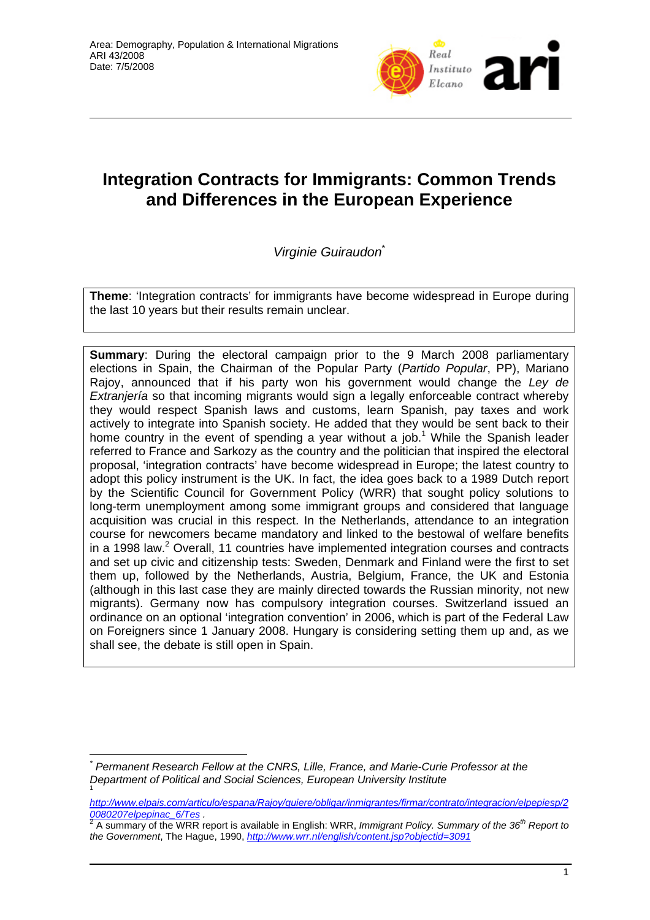

# **Integration Contracts for Immigrants: Common Trends and Differences in the European Experience**

*Virginie Guiraudon*\*

**Theme**: 'Integration contracts' for immigrants have become widespread in Europe during the last 10 years but their results remain unclear.

**Summary**: During the electoral campaign prior to the 9 March 2008 parliamentary elections in Spain, the Chairman of the Popular Party (*Partido Popular*, PP), Mariano Rajoy, announced that if his party won his government would change the *Ley de Extranjería* so that incoming migrants would sign a legally enforceable contract whereby they would respect Spanish laws and customs, learn Spanish, pay taxes and work actively to integrate into Spanish society. He added that they would be sent back to their home country in the event of spending a year without a job.<sup>1</sup> While the Spanish leader referred to France and Sarkozy as the country and the politician that inspired the electoral proposal, 'integration contracts' have become widespread in Europe; the latest country to adopt this policy instrument is the UK. In fact, the idea goes back to a 1989 Dutch report by the Scientific Council for Government Policy (WRR) that sought policy solutions to long-term unemployment among some immigrant groups and considered that language acquisition was crucial in this respect. In the Netherlands, attendance to an integration course for newcomers became mandatory and linked to the bestowal of welfare benefits in a 1998 law. $2$  Overall, 11 countries have implemented integration courses and contracts and set up civic and citizenship tests: Sweden, Denmark and Finland were the first to set them up, followed by the Netherlands, Austria, Belgium, France, the UK and Estonia (although in this last case they are mainly directed towards the Russian minority, not new migrants). Germany now has compulsory integration courses. Switzerland issued an ordinance on an optional 'integration convention' in 2006, which is part of the Federal Law on Foreigners since 1 January 2008. Hungary is considering setting them up and, as we shall see, the debate is still open in Spain.

 $\overline{a}$ 

*<sup>\*</sup> Permanent Research Fellow at the CNRS, Lille, France, and Marie-Curie Professor at the Department of Political and Social Sciences, European University Institute*  1

*http://www.elpais.com/articulo/espana/Rajoy/quiere/obligar/inmigrantes/firmar/contrato/integracion/elpepiesp/2 0080207elpepinac\_6/Tes .* <sup>2</sup>

A summary of the WRR report is available in English: WRR, *Immigrant Policy. Summary of the 36th Report to the Government*, The Hague, 1990, *http://www.wrr.nl/english/content.jsp?objectid=3091*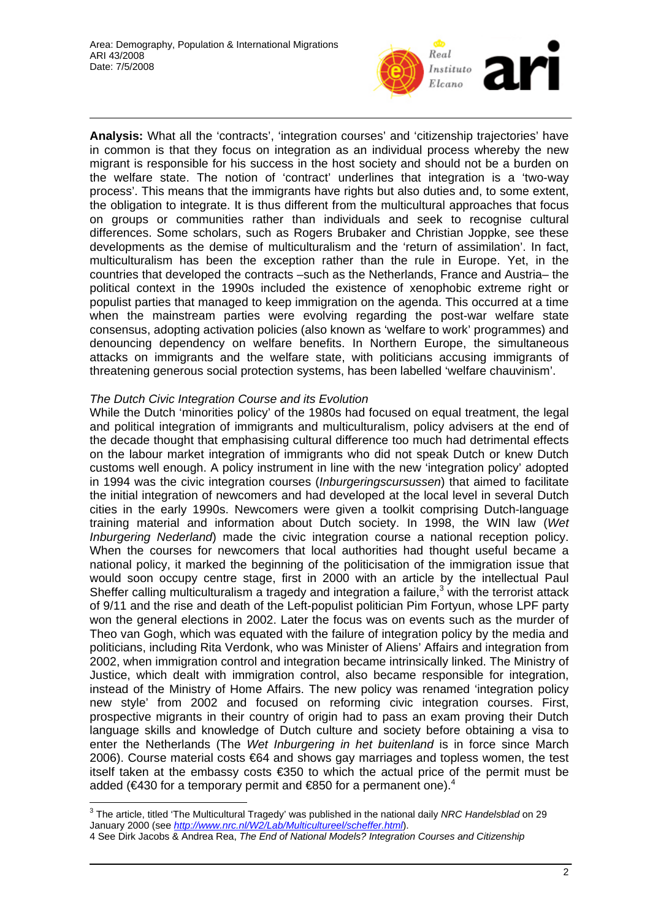

**Analysis:** What all the 'contracts', 'integration courses' and 'citizenship trajectories' have in common is that they focus on integration as an individual process whereby the new migrant is responsible for his success in the host society and should not be a burden on the welfare state. The notion of 'contract' underlines that integration is a 'two-way process'. This means that the immigrants have rights but also duties and, to some extent, the obligation to integrate. It is thus different from the multicultural approaches that focus on groups or communities rather than individuals and seek to recognise cultural differences. Some scholars, such as Rogers Brubaker and Christian Joppke, see these developments as the demise of multiculturalism and the 'return of assimilation'. In fact, multiculturalism has been the exception rather than the rule in Europe. Yet, in the countries that developed the contracts –such as the Netherlands, France and Austria– the political context in the 1990s included the existence of xenophobic extreme right or populist parties that managed to keep immigration on the agenda. This occurred at a time when the mainstream parties were evolving regarding the post-war welfare state consensus, adopting activation policies (also known as 'welfare to work' programmes) and denouncing dependency on welfare benefits. In Northern Europe, the simultaneous attacks on immigrants and the welfare state, with politicians accusing immigrants of threatening generous social protection systems, has been labelled 'welfare chauvinism'.

## *The Dutch Civic Integration Course and its Evolution*

While the Dutch 'minorities policy' of the 1980s had focused on equal treatment, the legal and political integration of immigrants and multiculturalism, policy advisers at the end of the decade thought that emphasising cultural difference too much had detrimental effects on the labour market integration of immigrants who did not speak Dutch or knew Dutch customs well enough. A policy instrument in line with the new 'integration policy' adopted in 1994 was the civic integration courses (*Inburgeringscursussen*) that aimed to facilitate the initial integration of newcomers and had developed at the local level in several Dutch cities in the early 1990s. Newcomers were given a toolkit comprising Dutch-language training material and information about Dutch society. In 1998, the WIN law (*Wet Inburgering Nederland*) made the civic integration course a national reception policy. When the courses for newcomers that local authorities had thought useful became a national policy, it marked the beginning of the politicisation of the immigration issue that would soon occupy centre stage, first in 2000 with an article by the intellectual Paul Sheffer calling multiculturalism a tragedy and integration a failure, $3$  with the terrorist attack of 9/11 and the rise and death of the Left-populist politician Pim Fortyun, whose LPF party won the general elections in 2002. Later the focus was on events such as the murder of Theo van Gogh, which was equated with the failure of integration policy by the media and politicians, including Rita Verdonk, who was Minister of Aliens' Affairs and integration from 2002, when immigration control and integration became intrinsically linked. The Ministry of Justice, which dealt with immigration control, also became responsible for integration, instead of the Ministry of Home Affairs. The new policy was renamed 'integration policy new style' from 2002 and focused on reforming civic integration courses. First, prospective migrants in their country of origin had to pass an exam proving their Dutch language skills and knowledge of Dutch culture and society before obtaining a visa to enter the Netherlands (The *Wet Inburgering in het buitenland* is in force since March 2006). Course material costs €64 and shows gay marriages and topless women, the test itself taken at the embassy costs €350 to which the actual price of the permit must be added (€430 for a temporary permit and  $€850$  for a permanent one).<sup>4</sup>

 3 The article, titled 'The Multicultural Tragedy' was published in the national daily *NRC Handelsblad* on 29 January 2000 (see *http://www.nrc.nl/W2/Lab/Multicultureel/scheffer.html*).

<sup>4</sup> See Dirk Jacobs & Andrea Rea, *The End of National Models? Integration Courses and Citizenship*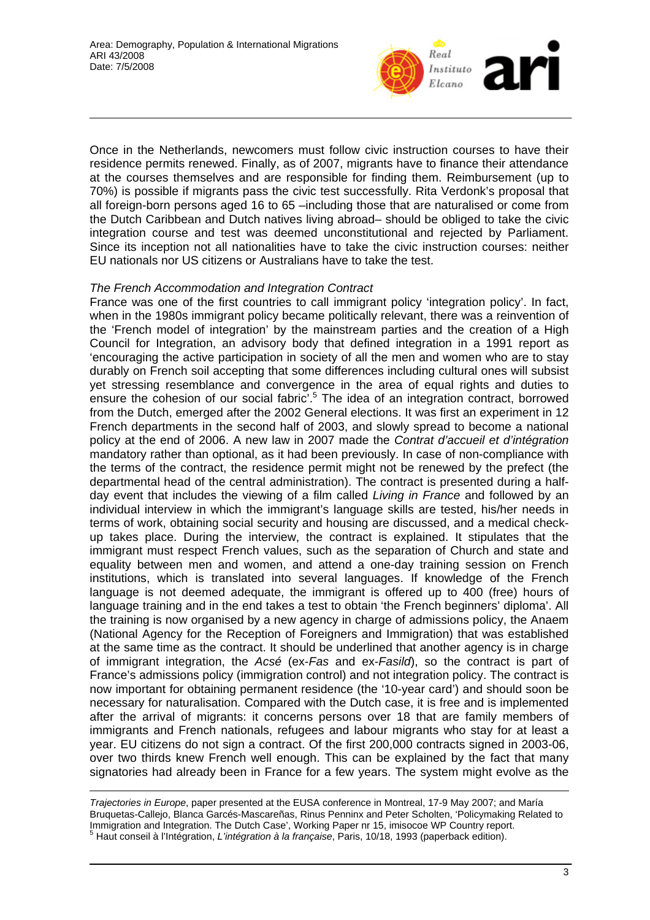

Once in the Netherlands, newcomers must follow civic instruction courses to have their residence permits renewed. Finally, as of 2007, migrants have to finance their attendance at the courses themselves and are responsible for finding them. Reimbursement (up to 70%) is possible if migrants pass the civic test successfully. Rita Verdonk's proposal that all foreign-born persons aged 16 to 65 –including those that are naturalised or come from the Dutch Caribbean and Dutch natives living abroad– should be obliged to take the civic integration course and test was deemed unconstitutional and rejected by Parliament. Since its inception not all nationalities have to take the civic instruction courses: neither EU nationals nor US citizens or Australians have to take the test.

### *The French Accommodation and Integration Contract*

France was one of the first countries to call immigrant policy 'integration policy'. In fact, when in the 1980s immigrant policy became politically relevant, there was a reinvention of the 'French model of integration' by the mainstream parties and the creation of a High Council for Integration, an advisory body that defined integration in a 1991 report as 'encouraging the active participation in society of all the men and women who are to stay durably on French soil accepting that some differences including cultural ones will subsist yet stressing resemblance and convergence in the area of equal rights and duties to ensure the cohesion of our social fabric'.<sup>5</sup> The idea of an integration contract, borrowed from the Dutch, emerged after the 2002 General elections. It was first an experiment in 12 French departments in the second half of 2003, and slowly spread to become a national policy at the end of 2006. A new law in 2007 made the *Contrat d'accueil et d'intégration* mandatory rather than optional, as it had been previously. In case of non-compliance with the terms of the contract, the residence permit might not be renewed by the prefect (the departmental head of the central administration). The contract is presented during a halfday event that includes the viewing of a film called *Living in France* and followed by an individual interview in which the immigrant's language skills are tested, his/her needs in terms of work, obtaining social security and housing are discussed, and a medical checkup takes place. During the interview, the contract is explained. It stipulates that the immigrant must respect French values, such as the separation of Church and state and equality between men and women, and attend a one-day training session on French institutions, which is translated into several languages. If knowledge of the French language is not deemed adequate, the immigrant is offered up to 400 (free) hours of language training and in the end takes a test to obtain 'the French beginners' diploma'. All the training is now organised by a new agency in charge of admissions policy, the Anaem (National Agency for the Reception of Foreigners and Immigration) that was established at the same time as the contract. It should be underlined that another agency is in charge of immigrant integration, the *Acsé* (ex-*Fas* and ex-*Fasild*), so the contract is part of France's admissions policy (immigration control) and not integration policy. The contract is now important for obtaining permanent residence (the '10-year card') and should soon be necessary for naturalisation. Compared with the Dutch case, it is free and is implemented after the arrival of migrants: it concerns persons over 18 that are family members of immigrants and French nationals, refugees and labour migrants who stay for at least a year. EU citizens do not sign a contract. Of the first 200,000 contracts signed in 2003-06, over two thirds knew French well enough. This can be explained by the fact that many signatories had already been in France for a few years. The system might evolve as the

 $\overline{a}$ *Trajectories in Europe*, paper presented at the EUSA conference in Montreal, 17-9 May 2007; and María Bruquetas-Callejo, Blanca Garcés-Mascareñas, Rinus Penninx and Peter Scholten, 'Policymaking Related to Immigration and Integration. The Dutch Case', Working Paper nr 15, imisocoe WP Country report. Haut conseil à l'Intégration, *L'intégration à la française*, Paris, 10/18, 1993 (paperback edition).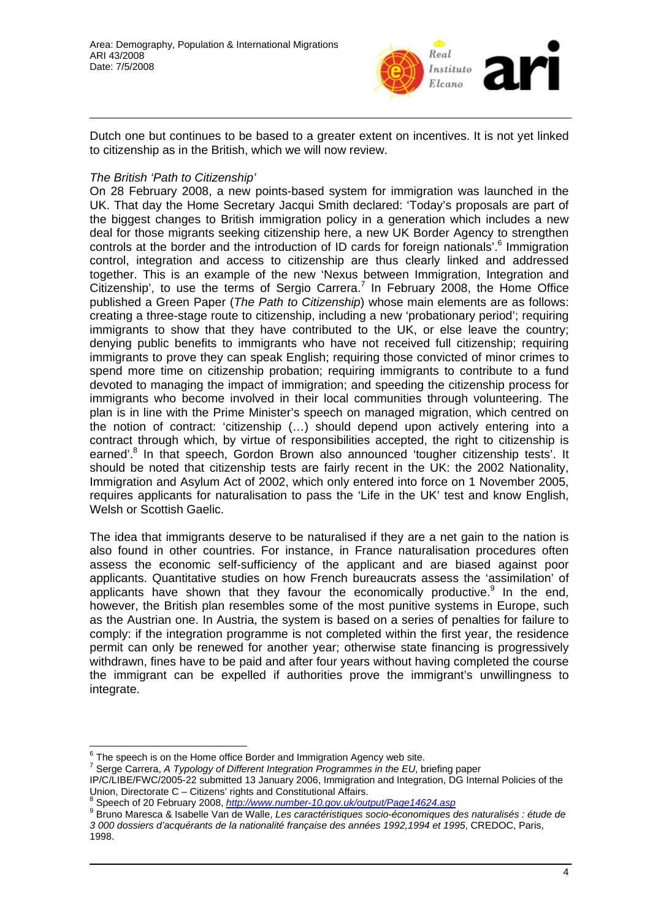

Dutch one but continues to be based to a greater extent on incentives. It is not yet linked to citizenship as in the British, which we will now review.

## *The British 'Path to Citizenship'*

On 28 February 2008, a new points-based system for immigration was launched in the UK. That day the Home Secretary Jacqui Smith declared: 'Today's proposals are part of the biggest changes to British immigration policy in a generation which includes a new deal for those migrants seeking citizenship here, a new UK Border Agency to strengthen controls at the border and the introduction of ID cards for foreign nationals'.<sup>6</sup> Immigration control, integration and access to citizenship are thus clearly linked and addressed together. This is an example of the new 'Nexus between Immigration, Integration and Citizenship', to use the terms of Sergio Carrera.<sup>7</sup> In February 2008, the Home Office published a Green Paper (*The Path to Citizenship*) whose main elements are as follows: creating a three-stage route to citizenship, including a new 'probationary period'; requiring immigrants to show that they have contributed to the UK, or else leave the country; denying public benefits to immigrants who have not received full citizenship; requiring immigrants to prove they can speak English; requiring those convicted of minor crimes to spend more time on citizenship probation; requiring immigrants to contribute to a fund devoted to managing the impact of immigration; and speeding the citizenship process for immigrants who become involved in their local communities through volunteering. The plan is in line with the Prime Minister's speech on managed migration, which centred on the notion of contract: 'citizenship (…) should depend upon actively entering into a contract through which, by virtue of responsibilities accepted, the right to citizenship is earned'.<sup>8</sup> In that speech, Gordon Brown also announced 'tougher citizenship tests'. It should be noted that citizenship tests are fairly recent in the UK: the 2002 Nationality, Immigration and Asylum Act of 2002, which only entered into force on 1 November 2005, requires applicants for naturalisation to pass the 'Life in the UK' test and know English, Welsh or Scottish Gaelic.

The idea that immigrants deserve to be naturalised if they are a net gain to the nation is also found in other countries. For instance, in France naturalisation procedures often assess the economic self-sufficiency of the applicant and are biased against poor applicants. Quantitative studies on how French bureaucrats assess the 'assimilation' of applicants have shown that they favour the economically productive. $9$  In the end, however, the British plan resembles some of the most punitive systems in Europe, such as the Austrian one. In Austria, the system is based on a series of penalties for failure to comply: if the integration programme is not completed within the first year, the residence permit can only be renewed for another year; otherwise state financing is progressively withdrawn, fines have to be paid and after four years without having completed the course the immigrant can be expelled if authorities prove the immigrant's unwillingness to integrate.

 $\frac{6}{7}$  The speech is on the Home office Border and Immigration Agency web site.<br>7 Serge Corrers, A Tunelogy of Different Integration Programmes in the EU, by

Serge Carrera, *A Typology of Different Integration Programmes in the EU*, briefing paper IP/C/LIBE/FWC/2005-22 submitted 13 January 2006, Immigration and Integration, DG Internal Policies of the Union, Directorate C – Citizens' rights and Constitutional Affairs.

<sup>&</sup>lt;sup>8</sup> Speech of 20 February 2008, *http://www.number-10.gov.uk/output/Page14624.asp*<br><sup>9</sup> Prupe Mercese & Jachelle Van de Welle J es carectéristiques socie économiques

Bruno Maresca & Isabelle Van de Walle, *Les caractéristiques socio-économiques des naturalisés : étude de 3 000 dossiers d'acquérants de la nationalité française des années 1992,1994 et 1995*, CREDOC, Paris, 1998.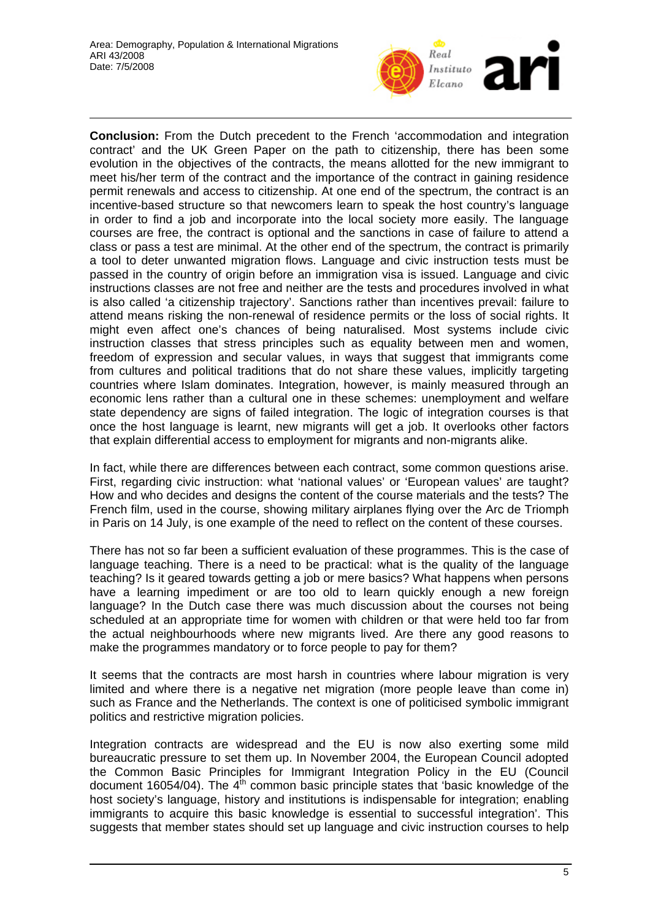

**Conclusion:** From the Dutch precedent to the French 'accommodation and integration contract' and the UK Green Paper on the path to citizenship, there has been some evolution in the objectives of the contracts, the means allotted for the new immigrant to meet his/her term of the contract and the importance of the contract in gaining residence permit renewals and access to citizenship. At one end of the spectrum, the contract is an incentive-based structure so that newcomers learn to speak the host country's language in order to find a job and incorporate into the local society more easily. The language courses are free, the contract is optional and the sanctions in case of failure to attend a class or pass a test are minimal. At the other end of the spectrum, the contract is primarily a tool to deter unwanted migration flows. Language and civic instruction tests must be passed in the country of origin before an immigration visa is issued. Language and civic instructions classes are not free and neither are the tests and procedures involved in what is also called 'a citizenship trajectory'. Sanctions rather than incentives prevail: failure to attend means risking the non-renewal of residence permits or the loss of social rights. It might even affect one's chances of being naturalised. Most systems include civic instruction classes that stress principles such as equality between men and women, freedom of expression and secular values, in ways that suggest that immigrants come from cultures and political traditions that do not share these values, implicitly targeting countries where Islam dominates. Integration, however, is mainly measured through an economic lens rather than a cultural one in these schemes: unemployment and welfare state dependency are signs of failed integration. The logic of integration courses is that once the host language is learnt, new migrants will get a job. It overlooks other factors that explain differential access to employment for migrants and non-migrants alike.

In fact, while there are differences between each contract, some common questions arise. First, regarding civic instruction: what 'national values' or 'European values' are taught? How and who decides and designs the content of the course materials and the tests? The French film, used in the course, showing military airplanes flying over the Arc de Triomph in Paris on 14 July, is one example of the need to reflect on the content of these courses.

There has not so far been a sufficient evaluation of these programmes. This is the case of language teaching. There is a need to be practical: what is the quality of the language teaching? Is it geared towards getting a job or mere basics? What happens when persons have a learning impediment or are too old to learn quickly enough a new foreign language? In the Dutch case there was much discussion about the courses not being scheduled at an appropriate time for women with children or that were held too far from the actual neighbourhoods where new migrants lived. Are there any good reasons to make the programmes mandatory or to force people to pay for them?

It seems that the contracts are most harsh in countries where labour migration is very limited and where there is a negative net migration (more people leave than come in) such as France and the Netherlands. The context is one of politicised symbolic immigrant politics and restrictive migration policies.

Integration contracts are widespread and the EU is now also exerting some mild bureaucratic pressure to set them up. In November 2004, the European Council adopted the Common Basic Principles for Immigrant Integration Policy in the EU (Council document 16054/04). The  $4<sup>th</sup>$  common basic principle states that 'basic knowledge of the host society's language, history and institutions is indispensable for integration; enabling immigrants to acquire this basic knowledge is essential to successful integration'. This suggests that member states should set up language and civic instruction courses to help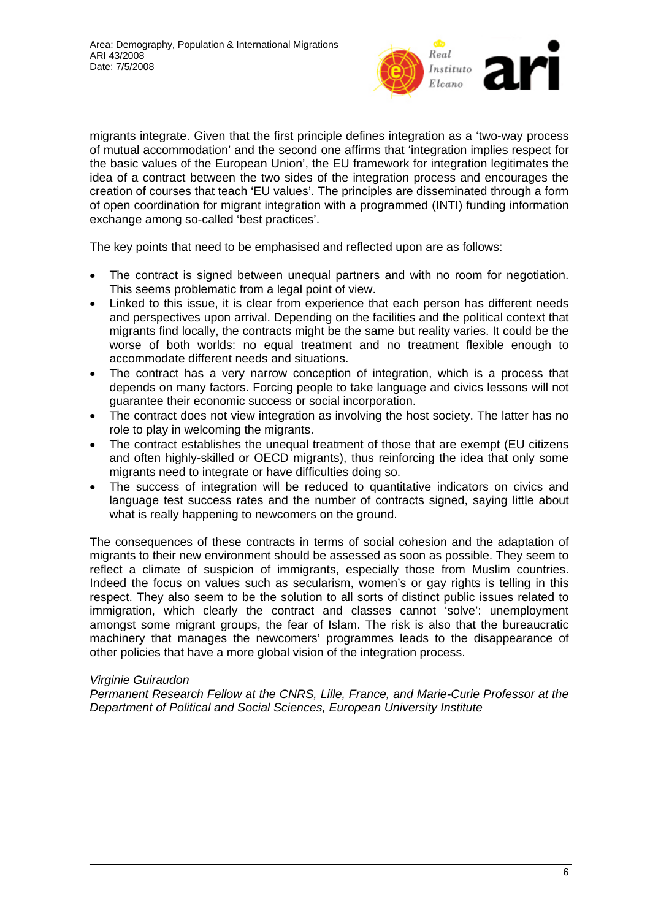

migrants integrate. Given that the first principle defines integration as a 'two-way process of mutual accommodation' and the second one affirms that 'integration implies respect for the basic values of the European Union', the EU framework for integration legitimates the idea of a contract between the two sides of the integration process and encourages the creation of courses that teach 'EU values'. The principles are disseminated through a form of open coordination for migrant integration with a programmed (INTI) funding information exchange among so-called 'best practices'.

The key points that need to be emphasised and reflected upon are as follows:

- The contract is signed between unequal partners and with no room for negotiation. This seems problematic from a legal point of view.
- Linked to this issue, it is clear from experience that each person has different needs and perspectives upon arrival. Depending on the facilities and the political context that migrants find locally, the contracts might be the same but reality varies. It could be the worse of both worlds: no equal treatment and no treatment flexible enough to accommodate different needs and situations.
- The contract has a very narrow conception of integration, which is a process that depends on many factors. Forcing people to take language and civics lessons will not guarantee their economic success or social incorporation.
- The contract does not view integration as involving the host society. The latter has no role to play in welcoming the migrants.
- The contract establishes the unequal treatment of those that are exempt (EU citizens and often highly-skilled or OECD migrants), thus reinforcing the idea that only some migrants need to integrate or have difficulties doing so.
- The success of integration will be reduced to quantitative indicators on civics and language test success rates and the number of contracts signed, saying little about what is really happening to newcomers on the ground.

The consequences of these contracts in terms of social cohesion and the adaptation of migrants to their new environment should be assessed as soon as possible. They seem to reflect a climate of suspicion of immigrants, especially those from Muslim countries. Indeed the focus on values such as secularism, women's or gay rights is telling in this respect. They also seem to be the solution to all sorts of distinct public issues related to immigration, which clearly the contract and classes cannot 'solve': unemployment amongst some migrant groups, the fear of Islam. The risk is also that the bureaucratic machinery that manages the newcomers' programmes leads to the disappearance of other policies that have a more global vision of the integration process.

### *Virginie Guiraudon*

*Permanent Research Fellow at the CNRS, Lille, France, and Marie-Curie Professor at the Department of Political and Social Sciences, European University Institute*